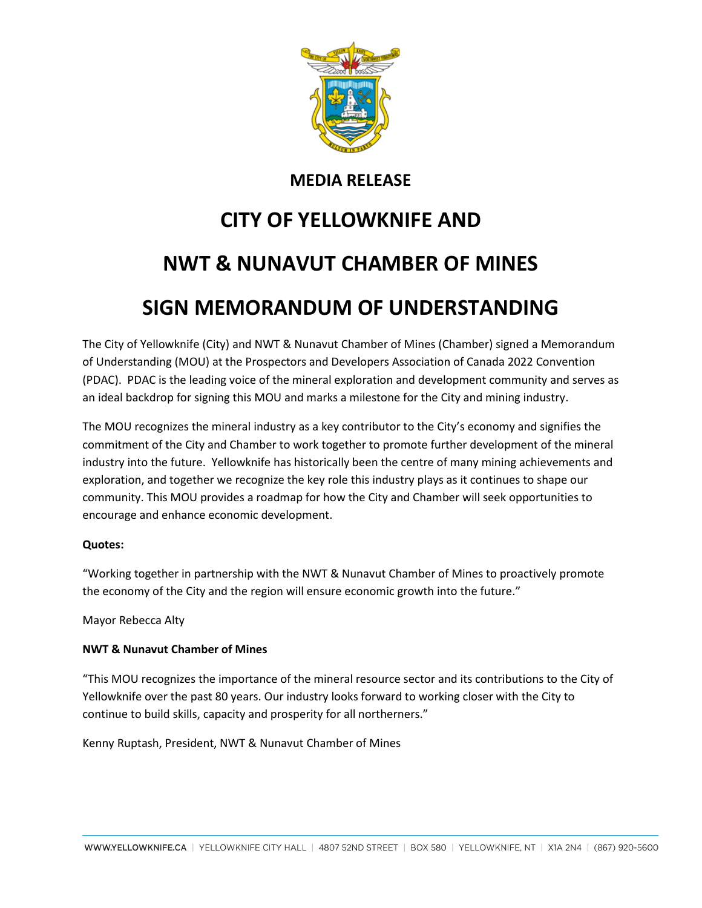

## **MEDIA RELEASE**

# **CITY OF YELLOWKNIFE AND NWT & NUNAVUT CHAMBER OF MINES**

# **SIGN MEMORANDUM OF UNDERSTANDING**

The City of Yellowknife (City) and NWT & Nunavut Chamber of Mines (Chamber) signed a Memorandum of Understanding (MOU) at the Prospectors and Developers Association of Canada 2022 Convention (PDAC). PDAC is the leading voice of the mineral exploration and development community and serves as an ideal backdrop for signing this MOU and marks a milestone for the City and mining industry.

The MOU recognizes the mineral industry as a key contributor to the City's economy and signifies the commitment of the City and Chamber to work together to promote further development of the mineral industry into the future. Yellowknife has historically been the centre of many mining achievements and exploration, and together we recognize the key role this industry plays as it continues to shape our community. This MOU provides a roadmap for how the City and Chamber will seek opportunities to encourage and enhance economic development.

#### **Quotes:**

"Working together in partnership with the NWT & Nunavut Chamber of Mines to proactively promote the economy of the City and the region will ensure economic growth into the future."

#### Mayor Rebecca Alty

#### **NWT & Nunavut Chamber of Mines**

"This MOU recognizes the importance of the mineral resource sector and its contributions to the City of Yellowknife over the past 80 years. Our industry looks forward to working closer with the City to continue to build skills, capacity and prosperity for all northerners."

Kenny Ruptash, President, NWT & Nunavut Chamber of Mines